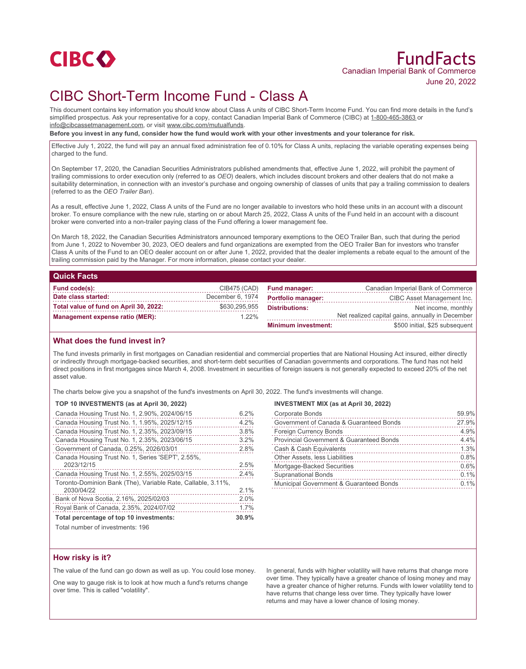

# FundFacts Canadian Imperial Bank of Commerce June 20, 2022

# CIBC Short-Term Income Fund - Class A

This document contains key information you should know about Class A units of CIBC Short-Term Income Fund. You can find more details in the fund's simplified prospectus. Ask your representative for a copy, contact Canadian Imperial Bank of Commerce (CIBC) at 1-800-465-3863 or info@cibcassetmanagement.com, or visit www.cibc.com/mutualfunds.

**Before you invest in any fund, consider how the fund would work with your other investments and your tolerance for risk.**

Effective July 1, 2022, the fund will pay an annual fixed administration fee of 0.10% for Class A units, replacing the variable operating expenses being charged to the fund.

On September 17, 2020, the Canadian Securities Administrators published amendments that, effective June 1, 2022, will prohibit the payment of trailing commissions to order execution only (referred to as *OEO*) dealers, which includes discount brokers and other dealers that do not make a suitability determination, in connection with an investor's purchase and ongoing ownership of classes of units that pay a trailing commission to dealers (referred to as the *OEO Trailer Ban*).

As a result, effective June 1, 2022, Class A units of the Fund are no longer available to investors who hold these units in an account with a discount broker. To ensure compliance with the new rule, starting on or about March 25, 2022, Class A units of the Fund held in an account with a discount broker were converted into a non-trailer paying class of the Fund offering a lower management fee.

On March 18, 2022, the Canadian Securities Administrators announced temporary exemptions to the OEO Trailer Ban, such that during the period from June 1, 2022 to November 30, 2023, OEO dealers and fund organizations are exempted from the OEO Trailer Ban for investors who transfer Class A units of the Fund to an OEO dealer account on or after June 1, 2022, provided that the dealer implements a rebate equal to the amount of the trailing commission paid by the Manager. For more information, please contact your dealer.

| <b>Quick Facts</b>                     |                  |                            |                                                  |
|----------------------------------------|------------------|----------------------------|--------------------------------------------------|
| Fund code(s):                          | CIB475 (CAD)     | <b>Fund manager:</b>       | Canadian Imperial Bank of Commerce               |
| Date class started:                    | December 6, 1974 | <b>Portfolio manager:</b>  | CIBC Asset Management Inc.                       |
| Total value of fund on April 30, 2022: | \$630,295,955    | <b>Distributions:</b>      | Net income, monthly                              |
| <b>Management expense ratio (MER):</b> | $1.22\%$         |                            | Net realized capital gains, annually in December |
|                                        |                  | <b>Minimum investment:</b> | \$500 initial, \$25 subsequent                   |

#### **What does the fund invest in?**

The fund invests primarily in first mortgages on Canadian residential and commercial properties that are National Housing Act insured, either directly or indirectly through mortgage-backed securities, and short-term debt securities of Canadian governments and corporations. The fund has not held direct positions in first mortgages since March 4, 2008. Investment in securities of foreign issuers is not generally expected to exceed 20% of the net asset value.

The charts below give you a snapshot of the fund's investments on April 30, 2022. The fund's investments will change.

### **TOP 10 INVESTMENTS (as at April 30, 2022)**

| Canada Housing Trust No. 1, 2.90%, 2024/06/15                | 6.2% |
|--------------------------------------------------------------|------|
| Canada Housing Trust No. 1, 1.95%, 2025/12/15                | 4.2% |
| Canada Housing Trust No. 1, 2.35%, 2023/09/15                | 3.8% |
| Canada Housing Trust No. 1, 2.35%, 2023/06/15                | 3.2% |
| Government of Canada, 0.25%, 2026/03/01                      | 2.8% |
| Canada Housing Trust No. 1, Series 'SEPT', 2.55%,            |      |
| 2023/12/15                                                   | 2.5% |
| Canada Housing Trust No. 1, 2.55%, 2025/03/15                | 2.4% |
| Toronto-Dominion Bank (The), Variable Rate, Callable, 3.11%, |      |
| 2030/04/22                                                   | 2.1% |
| Bank of Nova Scotia, 2.16%, 2025/02/03                       | 2.0% |
| Royal Bank of Canada, 2.35%, 2024/07/02                      |      |
| Total percentage of top 10 investments:                      |      |
| Total number of investments: 196                             |      |

#### **INVESTMENT MIX (as at April 30, 2022)**

| <b>Corporate Bonds</b>                              | 59.9% |
|-----------------------------------------------------|-------|
| Government of Canada & Guaranteed Bonds             | 27.9% |
| <b>Foreign Currency Bonds</b>                       | 4.9%  |
| <b>Provincial Government &amp; Guaranteed Bonds</b> | 4.4%  |
| Cash & Cash Equivalents                             | 1.3%  |
| Other Assets, less Liabilities                      | 0.8%  |
| Mortgage-Backed Securities                          | 0.6%  |
| <b>Supranational Bonds</b>                          | 0.1%  |
| Municipal Government & Guaranteed Bonds             | 0.1%  |
|                                                     |       |

# **How risky is it?**

The value of the fund can go down as well as up. You could lose money.

One way to gauge risk is to look at how much a fund's returns change over time. This is called "volatility".

In general, funds with higher volatility will have returns that change more over time. They typically have a greater chance of losing money and may have a greater chance of higher returns. Funds with lower volatility tend to have returns that change less over time. They typically have lower returns and may have a lower chance of losing money.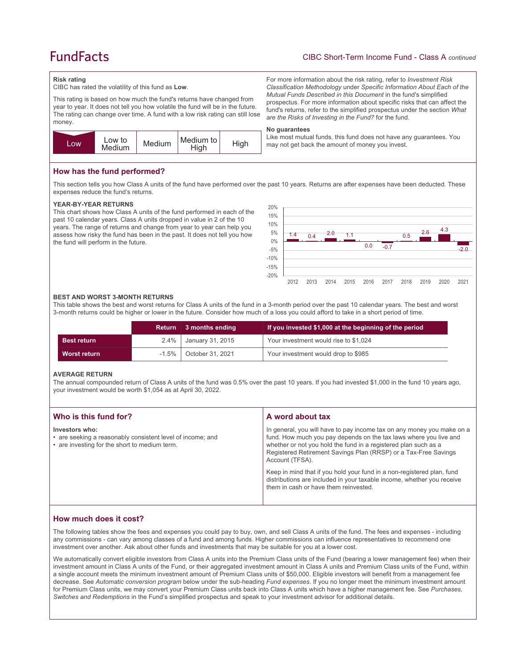# **FundFacts**

# CIBC Short-Term Income Fund - Class A *continued*

For more information about the risk rating, refer to *Investment Risk Classification Methodology* under *Specific Information About Each of the Mutual Funds Described in this Document* in the fund's simplified prospectus. For more information about specific risks that can affect the fund's returns, refer to the simplified prospectus under the section *What* 

Like most mutual funds, this fund does not have any guarantees. You

*are the Risks of Investing in the Fund?* for the fund.

may not get back the amount of money you invest.

#### **Risk rating**

CIBC has rated the volatility of this fund as **Low**.

This rating is based on how much the fund's returns have changed from year to year. It does not tell you how volatile the fund will be in the future. The rating can change over time. A fund with a low risk rating can still lose money.



### **How has the fund performed?**

This section tells you how Class A units of the fund have performed over the past 10 years. Returns are after expenses have been deducted. These expenses reduce the fund's returns.

**No guarantees**

#### **YEAR-BY-YEAR RETURNS**

This chart shows how Class A units of the fund performed in each of the past 10 calendar years. Class A units dropped in value in 2 of the 10 years. The range of returns and change from year to year can help you assess how risky the fund has been in the past. It does not tell you how the fund will perform in the future.



#### **BEST AND WORST 3-MONTH RETURNS**

This table shows the best and worst returns for Class A units of the fund in a 3-month period over the past 10 calendar years. The best and worst 3-month returns could be higher or lower in the future. Consider how much of a loss you could afford to take in a short period of time.

|                    |          | Return 3 months ending | If you invested \$1,000 at the beginning of the period |
|--------------------|----------|------------------------|--------------------------------------------------------|
| <b>Best return</b> | $2.4\%$  | January 31, 2015       | Your investment would rise to \$1,024                  |
| Worst return       | $-1.5\%$ | October 31, 2021       | Your investment would drop to \$985                    |

#### **AVERAGE RETURN**

The annual compounded return of Class A units of the fund was 0.5% over the past 10 years. If you had invested \$1,000 in the fund 10 years ago, your investment would be worth \$1,054 as at April 30, 2022.

| Who is this fund for?                                                                                                         | A word about tax                                                                                                                                                                                                                                                                                     |
|-------------------------------------------------------------------------------------------------------------------------------|------------------------------------------------------------------------------------------------------------------------------------------------------------------------------------------------------------------------------------------------------------------------------------------------------|
| Investors who:<br>• are seeking a reasonably consistent level of income; and<br>• are investing for the short to medium term. | In general, you will have to pay income tax on any money you make on a<br>fund. How much you pay depends on the tax laws where you live and<br>whether or not you hold the fund in a registered plan such as a<br>Registered Retirement Savings Plan (RRSP) or a Tax-Free Savings<br>Account (TFSA). |
|                                                                                                                               | Keep in mind that if you hold your fund in a non-registered plan, fund<br>distributions are included in your taxable income, whether you receive<br>them in cash or have them reinvested.                                                                                                            |

# **How much does it cost?**

The following tables show the fees and expenses you could pay to buy, own, and sell Class A units of the fund. The fees and expenses - including any commissions - can vary among classes of a fund and among funds. Higher commissions can influence representatives to recommend one investment over another. Ask about other funds and investments that may be suitable for you at a lower cost.

We automatically convert eligible investors from Class A units into the Premium Class units of the Fund (bearing a lower management fee) when their investment amount in Class A units of the Fund, or their aggregated investment amount in Class A units and Premium Class units of the Fund, within a single account meets the minimum investment amount of Premium Class units of \$50,000. Eligible investors will benefit from a management fee decrease. See *Automatic conversion program* below under the sub-heading *Fund expenses*. If you no longer meet the minimum investment amount for Premium Class units, we may convert your Premium Class units back into Class A units which have a higher management fee. See *Purchases, Switches and Redemptions* in the Fund's simplified prospectus and speak to your investment advisor for additional details.